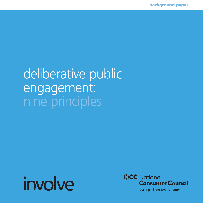# deliberative public engagement: nine principles





Making all consumers matter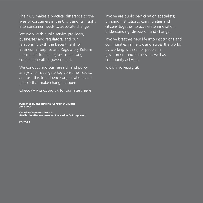The NCC makes a practical difference to the lives of consumers in the UK, using its insight into consumer needs to advocate change.

We work with public service providers, businesses and regulators, and our relationship with the Department for Business, Enterprise and Regulatory Reform – our main funder – gives us a strong connection within government.

We conduct rigorous research and policy analysis to investigate key consumer issues, and use this to influence organisations and people that make change happen.

Check www.ncc.org.uk for our latest news.

**Published by the National Consumer Council June 2008** 

**Creative Commons licence:** Attribution-Noncommercial-Share Alike 3.0 Unported

**PD 23/08** 

Involve are public participation specialists; bringing institutions, communities and citizens together to accelerate innovation, understanding, discussion and change.

Involve breathes new life into institutions and communities in the UK and across the world, by working with senior people in government and business as well as community activists.

www.involve.org.uk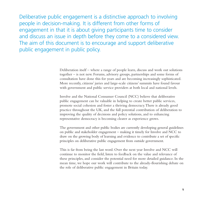Deliberative public engagement is a distinctive approach to involving people in decision-making. It is different from other forms of engagement in that it is about giving participants time to consider and discuss an issue in depth before they come to a considered view. The aim of this document is to encourage and support deliberative public engagement in public policy.

> Deliberation itself – where a range of people learn, discuss and work out solutions together – is not new. Forums, advisory groups, partnerships and some forms of consultation have done this for years and are becoming increasingly sophisticated. More recently, citizens' juries and large-scale citizens' summits have found favour with government and public service providers at both local and national levels.

> Involve and the National Consumer Council (NCC) believe that deliberative public engagement can be valuable in helping to create better public services, promote social cohesion and foster a thriving democracy.There is already good practice throughout the UK, and the full potential contribution of deliberation to improving the quality of decisions and policy solutions, and to enhancing representative democracy is becoming clearer as experience grows.

The government and other public bodies are currently developing general guidelines on public and stakeholder engagement – making it timely for Involve and NCC to draw on the growing body of learning and evidence to contribute a set of specific principles on deliberative public engagement from outside government.

This is far from being the last word. Over the next year Involve and NCC will continue to monitor the field, listen to feedback on the value and relevance of these principles, and consider the potential need for more detailed guidance. In the mean time, we hope our work will contribute to the already-flourishing debate on the role of deliberative public engagement in Britain today.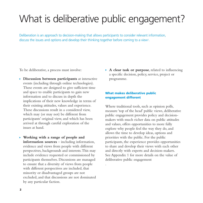# What is deliberative public engagement?

.

Deliberation is an approach to decision-making that allows participants to consider relevant information, discuss the issues and options and develop their thinking together before coming to a view1.

To be deliberative, a process must involve:

- **Discussion between participants** at interactive events (including through online technologies). These events are designed to give sufficient time and space to enable participants to gain new information and to discuss in depth the implications of their new knowledge in terms of their existing attitudes, values and experience. These discussions result in a considered view, which may (or may not) be different from participants' original view, and which has been arrived at through careful exploration of the issues at hand.
- **Working with a range of people and information sources** – including information, evidence and views from people with different perspectives, backgrounds and interests.This may include evidence requested or commissioned by participants themselves. Discussions are managed to ensure that a diversity of views from people with different perspectives are included, that minority or disadvantaged groups are not excluded, and that discussions are not dominated by any particular faction.

 **A clear task or purpose**, related to influencing a specific decision, policy, service, project or programme.

### What makes deliberative public engagement different

Where traditional tools, such as opinion polls, measure 'top of the head' public views, deliberative public engagement provides policy and decisionmakers with much richer data on public attitudes and values, offers opportunities to more fully explore why people feel the way they do, and allows the time to develop ideas, options and priorities with the public. For the public participants, the experience provides opportunities to share and develop their views with each other and directly with experts and decision-makers. See Appendix 1 for more details on the value of deliberative public engagement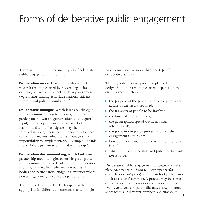# Forms of deliberative public engagement

There are currently three main types of deliberative public engagement in the UK:

**Deliberative research**, which builds on market research techniques used by research agencies carrying out work for clients such as government departments. Examples include national citizens' summits and policy consultations<sup>2</sup>.

Deliberative dialogue, which builds on dialogue and consensus-building techniques, enabling participants to work together (often with expert input) to develop an agreed view or set of recommendations. Participants may then be involved in taking their recommendations forward to decision-makers, which can encourage shared responsibility for implementation. Examples include national dialogues on science and technology3.

Deliberative decision-making, which builds on partnership methodologies to enable participants and decision-makers to decide jointly on priorities and programmes. Examples include partnership bodies and participatory budgeting exercises where power is genuinely devolved to participants.

These three types overlap. Each type may be appropriate in different circumstances and a single process may involve more than one type of deliberative activity.

The way a deliberative process is planned and designed, and the techniques used, depends on the circumstances, such as:

- $\triangleright$  the purpose of the process, and consequently the nature of the results required;
- $\blacktriangleright$  the numbers of people to be involved;
- $\blacktriangleright$  the timescale of the process;
- $\blacktriangleright$  the geographical spread (local, national, international);
- $\blacktriangleright$  the point in the policy process at which the engagement takes place;
- $\blacktriangleright$  how complex, contentious or technical the topic is; and
- $\triangleright$  what the mix of specialists and public participants needs to be.

Deliberative public engagement processes can take place on any scale - from ten participants (for example, citizens' juries) to thousands of participants (such as citizens' summits).A process may be a oneoff event, or part of a series of activities running over several years. Figure 1 illustrates how different approaches suit different numbers and timescales.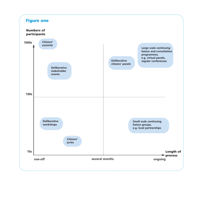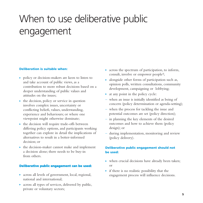# When to use deliberative public engagement

#### Deliberation is suitable when:

- ▶ policy or decision-makers are keen to listen to and take account of public views, as a contribution to more robust decisions based on a deeper understanding of public values and attitudes on the issues;
- $\blacktriangleright$  the decision, policy or service in question involves complex issues, uncertainty or conflicting beliefs, values, understanding, experience and behaviours; or where one viewpoint might otherwise dominate;
- $\blacktriangleright$  the decision will require trade-offs between differing policy options, and participants working together can explore in detail the implications of alternatives to result in a better-informed decision; or
- $\rightarrow$  the decision-maker cannot make and implement a decision alone; there needs to be buy-in from others.

### Deliberative public engagement can be used:

- across all levels of government, local, regional, national and international;
- $\triangleright$  across all types of services, delivered by public, private or voluntary sectors;
- $\triangleright$  across the spectrum of participation, to inform, consult, involve or empower people4;
- $\blacktriangleright$  alongside other forms of participation such as, opinion polls, written consultations, community development, campaigning or lobbying;
- $\triangleright$  at any point in the policy cycle:
- when an issue is initially identified as being of concern (policy determination or agenda-setting);
- when the process for tackling the issue and potential outcomes are set (policy direction);
- in planning the key elements of the desired outcomes and how to achieve them (policy design); or
- during implementation, monitoring and review (policy delivery).

### Deliberative public engagement should not be used:

- when crucial decisions have already been taken; or
- $\triangleright$  if there is no realistic possibility that the engagement process will influence decisions.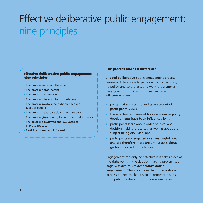# Effective deliberative public engagement: nine principles

### **Effective deliberative public engagement:** nine principles

- The process makes a difference
- $\blacktriangleright$  The process is transparent
- $\blacktriangleright$  The process has integrity
- The process is tailored to circumstances
- The process involves the right number and types of people
- $\blacktriangleright$  The process treats participants with respect
- $\triangleright$  The process gives priority to participants' discussions
- The process is reviewed and evaluated to improve practice
- ▶ Participants are kept informed.

#### The process makes a difference

A good deliberative public engagement process makes a difference – to participants, to decisions, to policy, and to projects and work programmes. Engagement can be seen to have made a difference when:

- k. policy-makers listen to and take account of participants' views;
- $\triangleright$  there is clear evidence of how decisions or policy developments have been influenced by it:
- participants learn about wider political and decision-making processes, as well as about the subject being discussed; and
- participants are engaged in a meaningful way, and are therefore more are enthusiastic about getting involved in the future.

Engagement can only be effective if it takes place at the right point in the decision-making process (see page 5, When to use deliberative public engagement). This may mean that organisational processes need to change, to incorporate results from public deliberations into decision-making.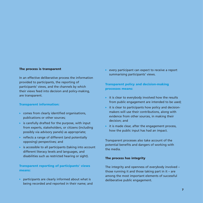#### The process is transparent

In an effective deliberative process the information provided to participants, the reporting of participants' views, and the channels by which their views feed into decision and policy-making, are transparent.

#### **Transparent information:**

- $\triangleright$  comes from clearly identified organisations. publications or other sources;
- is carefully drafted for the purpose, with input from experts, stakeholders, or citizens (including possibly via advisory panels) as appropriate;
- reflects a range of different (and potentially opposing) perspectives; and
- $\triangleright$  is accessible to all participants (taking into account different literacy levels and languages, and disabilities such as restricted hearing or sight).

**Transparent reporting of participants' views** means:

participants are clearly informed about what is being recorded and reported in their name; and  $\triangleright$  every participant can expect to receive a report summarising participants' views.

### **Transparent policy and decision-making** processes means:

- $\rightarrow$  it is clear to everybody involved how the results from public engagement are intended to be used;
- it is clear to participants how policy and decisionmakers will use their contributions, along with evidence from other sources, in making their decision: and
- $\blacktriangleright$  it is made clear, after the engagement process, how the public input has had an impact.

Transparent processes also take account of the potential benefits and dangers of working with the media

#### The process has integrity

The integrity and openness of everybody involved those running it and those taking part in it  $-$  are among the most important elements of successful deliberative public engagement.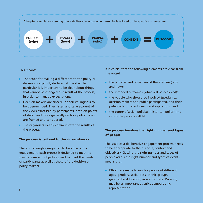

#### This means:

- $\triangleright$  The scope for making a difference to the policy or decision is explicitly declared at the start. In particular it is important to be clear about things that cannot be changed as a result of the process, in order to manage expectations.
- Decision-makers are sincere in their willingness to be open-minded. They listen and take account of the views expressed by participants, both on points of detail and more generally on how policy issues are framed and considered.
- $\triangleright$  The organisers clearly communicate the results of the process.

#### The process is tailored to the circumstances

There is no single design for deliberative public engagement. Each process is designed to meet its specific aims and objectives, and to meet the needs of participants as well as those of the decision or policy-makers.

It is crucial that the following elements are clear from the outset:

- $\triangleright$  the purpose and objectives of the exercise (why and how);
- $\triangleright$  the intended outcomes (what will be achieved);
- $\triangleright$  the people who should be involved (specialists, decision-makers and public participants), and their potentially different needs and aspirations; and
- $\triangleright$  the context (social, political, historical, policy) into which the process will fit.

### The process involves the right number and types of people

The scale of a deliberative engagement process needs to be appropriate to the purpose, context and objectives<sup>5</sup>. Getting the right number and types of people across the right number and types of events means that:

Efforts are made to involve people of different ages, genders, social class, ethnic groups, geographical location, as appropriate. Diversity may be as important as strict demographic representation.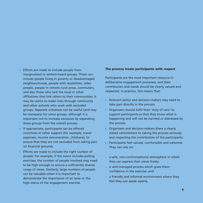- Efforts are made to include people from marginalised or seldom-heard groups. These can include people living in poverty or disadvantaged neighbourhoods, people with disabilities, older people, people in remote rural areas, commuters, and also those who lack the local or other affiliations that link others to their communities. It may be useful to make links through community and other activists who work with excluded groups. Separate initiatives can be useful (and may be necessary) for some groups, although it is important not to increase exclusion by separating these groups from the overall process.
- If appropriate, participants can be offered incentives or other support (for example, travel expenses, income remuneration, childcare), to ensure that they are not excluded from taking part on financial grounds.
- Efforts are made to include the right number of people. For example, if the event includes polling exercises, the number of people involved may need to be high enough to ensure a sufficiently diverse range of views. Similarly, large numbers of people can be valuable when it is important to demonstrate the importance of an issue or the high status of the engagement exercise.

#### The process treats participants with respect

Participants are the most important resource in deliberative engagement processes, and their contribution and needs should be clearly valued and respected. In practice, this means that:

- Relevant policy and decision-makers may need to take part directly in the process.
- ▶ Organisers should fulfil their 'duty of care' to support participants so that they know what is happening and will not be harmed or distressed by the process.
- $\triangleright$  Organisers and decision-makers share a clearly stated commitment to taking the process seriously and respecting the contribution of the participants.
- > Participants feel valued, comfortable and welcome. They can rely on:
- a safe, non-confrontational atmosphere in which they can express their views freely;
- a well-managed process which gives them confidence in the exercise: and
- a friendly and informal environment where they feel they can speak openly.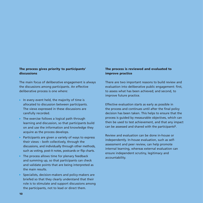### The process gives priority to participants' discussions

The main focus of deliberative engagement is always the discussions among participants. An effective deliberative process is one where:

- In every event held, the majority of time is allocated to discussion between participants. The views expressed in these discussions are carefully recorded.
- $\triangleright$  The exercise follows a logical path through learning and discussion, so that participants build on and use the information and knowledge they acquire as the process develops.
- Participants are given a variety of ways to express their views - both collectively, through the discussions, and individually through other methods, such as voting, post-it notes, postcards or flip charts.
- $\triangleright$  The process allows time for plenary feedback and summing up, so that participants can check and validate points that are being interpreted as the main results.
- > Specialists, decision-makers and policy-makers are briefed so that they clearly understand that their role is to stimulate and support discussions among the participants, not to lead or direct them.

### The process is reviewed and evaluated to improve practice

There are two important reasons to build review and evaluation into deliberative public engagement: first, to assess what has been achieved; and second, to improve future practice.

Effective evaluation starts as early as possible in the process and continues until after the final policy decision has been taken. This helps to ensure that the process is guided by measurable objectives, which can then be used to test achievement, and that any impact can be assessed and shared with the participants<sup>6</sup>.

Review and evaluation can be done in-house or independently. In-house evaluation, such as selfassessment and peer review, can help promote internal learning, whereas external evaluation can ensure independent scrutiny, legitimacy and accountability.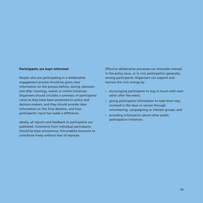#### **Participants are kept informed**

People who are participating in a deliberative engagement process should be given clear information on the process before, during, between and after meetings, events or online initiatives. Organisers should circulate a summary of participants' views as they have been presented to policy and decision-makers; and they should provide clear information on the final decision, and how participants' input has made a difference.

Ideally, all reports and feedback to participants are published. Comments from individual participants should be kept anonymous; this enables everyone to contribute freely without fear of reprisals.

Effective deliberative processes can stimulate interest in the policy issue, or in civic participation generally, among participants. Organisers can support and harness this civic energy by:

- $\triangleright$  encouraging participants to stay in touch with each other after the event:
- $\triangleright$  giving participants information to help them stay involved in the issue or service through volunteering, campaigning or interest groups; and
- providing information about other public participation initiatives.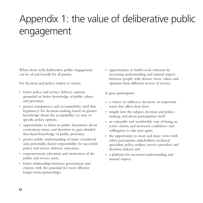# Appendix 1: the value of deliberative public engagement

When done well, deliberative public engagement can be of real benefit for all parties.

For decision and policy-makers it creates:

- $\triangleright$  better policy and service delivery options, grounded in better knowledge of public values and priorities;
- $\rightarrow$  greater transparency and accountability (and thus legitimacy) for decision-making, based on greater knowledge about the acceptability (or not) of specific policy options;
- $\rightarrow$  opportunities to listen to public discussions about contentious issues, and therefore to gain detailed first-hand knowledge of public priorities;
- $\rightarrow$  greater public understanding of issues considered and, potentially, shared responsibility for successful policy and service delivery outcomes;
- **EX** empowerment, education and motivation of the public and service users;
- better relationships between government and citizens with the potential for more effective longer-term partnerships;

 opportunities to build social cohesion by increasing understanding and mutual respect between people with diverse views, values and opinions from different sectors of society.

It gives participants:

- a chance to influence decisions on important issues that affect their lives;
- insight into the subject, decision and policymaking, and about participation itself;
- an enjoyable and worthwhile way of being an active citizen, and increased confidence and willingness to take part again;
- $\triangleright$  the opportunity to meet and share views with other participants, stakeholders, technical specialists, policy makers, service providers and decision makers; and
- a platform for increased understanding and mutual respect.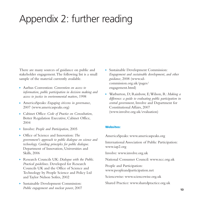# Appendix 2: further reading

There are many sources of guidance on public and stakeholder engagement.The following list is a small sample of the material currently available.

- Aarhus Convention: *Convention on access to information, public participation in decision making and access to justice in environmental matters*, 1998
- AmericaSpeaks: *Engaging citizens in governance*, 2007 (www.americaspeaks.org)
- Cabinet Office: *Code of Practice on Consultation*, Better Regulation Executive, Cabinet Office, 2004
- Involve: *People and Participation*, 2005
- Office of Science and Innovation: *The government's approach to public dialogue on science and technology. Guiding principles for public dialogue*. Department of Innovation, Universities and Skills, 2006
- Research Councils UK: *Dialogue with the Public. Practical guidelines*. Developed for Research Councils UK and the Office of Science and Technology by People Science and Policy Ltd and Taylor Nelson Sofres, 2002
- Sustainable Development Commission: *Public engagement and nuclear power*, 2007
- Sustainable Development Commission: *Engagement and sustainable development, and other guidance*, 2008 (www.sdcommission.org.uk/pages/ engagement.html)
- Warburton, D; Rainbow, E;Wilson, R: *Making a difference: a guide to evaluating public participation in central government*, Involve and Department for Constitutional Affairs, 2007 (www.involve.org.uk/evaluation)

### Websites:

AmericaSpeaks: www.americaspeaks.org

International Association of Public Participation: www.iap2.org

Involve: www.involve.org.uk

National Consumer Council: www.ncc.org.uk

People and Participation: www.peopleandparticipation.net

Sciencewise: www.sciencewise.org.uk

Shared Practice: www.sharedpractice.org.uk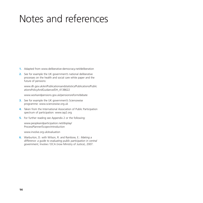# Notes and references

- **1.** Adapted from www.deliberative-democracy.net/deliberation
- **2.** See for example the UK government's national deliberative processes on the health and social care white paper and the future of pensions:

www.dh.gov.uk/en/Publicationsandstatistics/Publications/Public ationsPolicyAndGuidance/DH\_4138622

www.workandpensions.gov.uk/pensionsreform/debate

- **3.** See for example the UK government's Sciencewise programme: www.sciencewise.org.uk
- **4.** Taken from the International Association of Public Participation spectrum of participation: www.iap2.org
- **5.** For further reading see Appendix 2 or the following:

www.peopleandparticipation.net/display/ ProcessPlanner/Scope+Introduction

www.involve.org.uk/evaluation

**6.** Warburton, D. with Wilson, R. and Rainbow, E.: *Making a difference: a guide to evaluating public participation in central government*, Involve / DCA (now Ministry of Justice), 2007.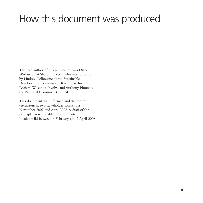# How this document was produced

The lead author of this publication was Diane Warburton at Shared Practice who was supported by Lindsey Colbourne at the Sustainable Development Commission, Karin Gavelin and Richard Wilson at Involve and Anthony Noun at the National Consumer Council.

This document was informed and steered by discussions at two stakeholder workshops in November 2007 and April 2008.A draft of the principles was available for comments on the Involve wiki between 6 February and 7 April 2008.